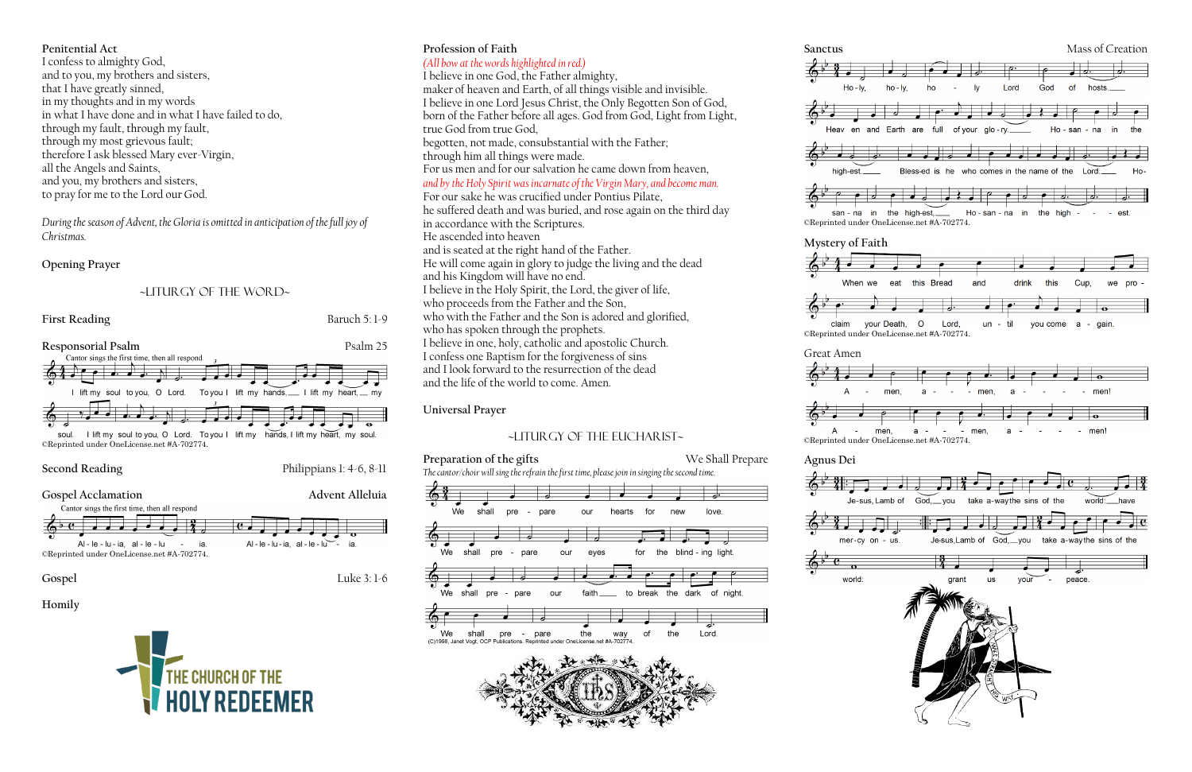## **Penitential Act**

I confess to almighty God, and to you, my brothers and sisters, that I have greatly sinned, in my thoughts and in my words in what I have done and in what I have failed to do, through my fault, through my fault, through my most grievous fault; therefore I ask blessed Mary ever-Virgin, all the Angels and Saints, and you, my brothers and sisters, to pray for me to the Lord our God.

*During the season of Advent, the Gloria is omitted in anticipation of the full joy of Christmas.*

### **Opening Prayer**

## ~liturgy of the word~



**Second Reading** Philippians 1: 4-6, 8-11





## **Homily**



# **Profession of Faith**

# *(All bow at the words highlighted in red.)*

**Preparation of the gifts** We Shall Prepare *The cantor/choir will sing the refrain the first time, please join in singing the second time.*







high-est.

| con | ≘≏ |  |
|-----|----|--|











I believe in one God, the Father almighty, maker of heaven and Earth, of all things visible and invisible. I believe in one Lord Jesus Christ, the Only Begotten Son of God, born of the Father before all ages. God from God, Light from Light, true God from true God, begotten, not made, consubstantial with the Father; through him all things were made. For us men and for our salvation he came down from heaven, *and by the Holy Spirit was incarnate of the Virgin Mary, and become man.*  For our sake he was crucified under Pontius Pilate, he suffered death and was buried, and rose again on the third day in accordance with the Scriptures. He ascended into heaven and is seated at the right hand of the Father. He will come again in glory to judge the living and the dead and his Kingdom will have no end. I believe in the Holy Spirit, the Lord, the giver of life, who proceeds from the Father and the Son, who with the Father and the Son is adored and glorified, who has spoken through the prophets. I believe in one, holy, catholic and apostolic Church. I confess one Baptism for the forgiveness of sins and I look forward to the resurrection of the dead and the life of the world to come. Amen.

## **Universal Prayer**

## ~Liturgy of the Eucharist~